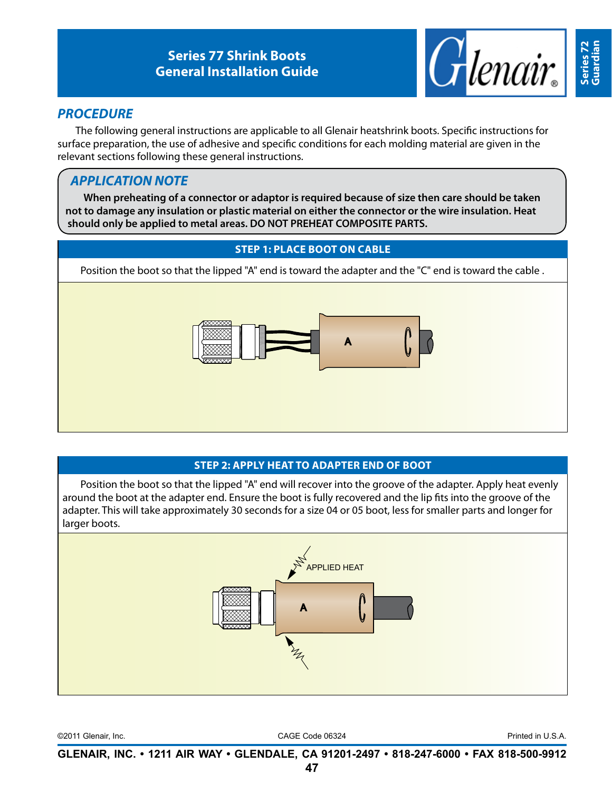

# *PROCEDURE*

The following general instructions are applicable to all Glenair heatshrink boots. Specific instructions for surface preparation, the use of adhesive and specific conditions for each molding material are given in the relevant sections following these general instructions.

# *APPLICATION NOTE*

**When preheating of a connector or adaptor is required because of size then care should be taken not to damage any insulation or plastic material on either the connector or the wire insulation. Heat should only be applied to metal areas. DO NOT PREHEAT COMPOSITE PARTS.**

## **STEP 1: PLACE BOOT ON CABLE**

Position the boot so that the lipped "A" end is toward the adapter and the "C" end is toward the cable .



## **STEP 2: APPLY HEAT TO ADAPTER END OF BOOT**

Position the boot so that the lipped "A" end will recover into the groove of the adapter. Apply heat evenly around the boot at the adapter end. Ensure the boot is fully recovered and the lip fits into the groove of the adapter. This will take approximately 30 seconds for a size 04 or 05 boot, less for smaller parts and longer for larger boots.



©2011 Glenair, Inc. CAGE Code 06324 Printed in U.S.A.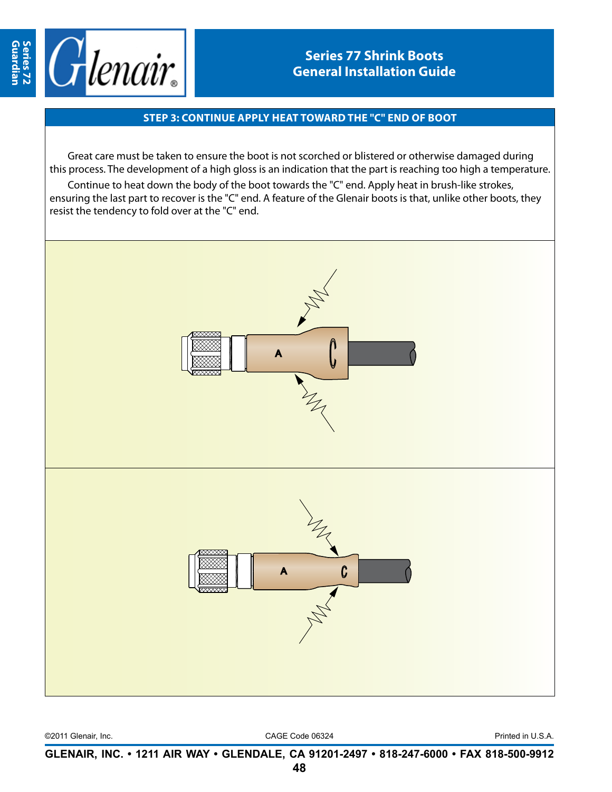

#### **STEP 3: continue APPLY HEAT toward the "c" end of boot**

Great care must be taken to ensure the boot is not scorched or blistered or otherwise damaged during this process. The development of a high gloss is an indication that the part is reaching too high a temperature.

Continue to heat down the body of the boot towards the "C" end. Apply heat in brush-like strokes, ensuring the last part to recover is the "C" end. A feature of the Glenair boots is that, unlike other boots, they resist the tendency to fold over at the "C" end.



©2011 Glenair, Inc. CAGE Code 06324 Printed in U.S.A.